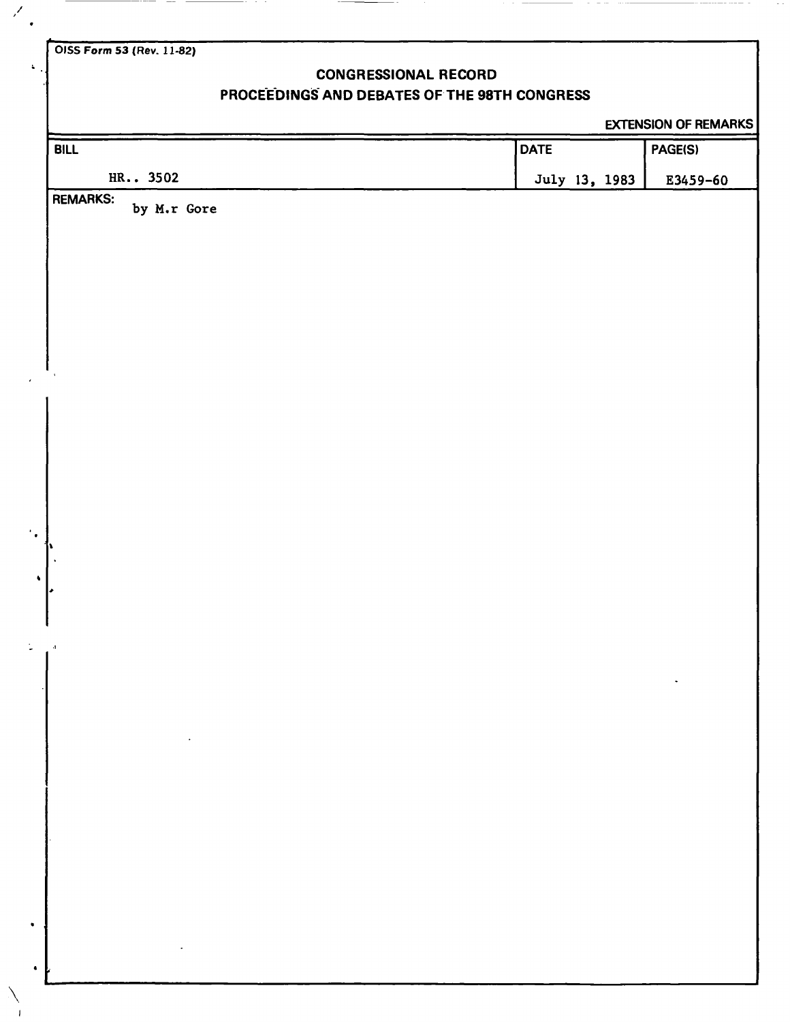**OISS Form 53 (Rev. 11-82)** 

 $\mathscr{S}$ 

 $\mathbf{r}$ 

**\** 

# **CONGRESSIONAL RECORD**

# **PROCEEDINGS AND DEBATES OF THE 98TH CONGRESS**

EXTENSION OF REMARKS

| <b>BILL</b>                                                 | <b>DATE</b> |               | PAGE(S)  |
|-------------------------------------------------------------|-------------|---------------|----------|
| HR 3502                                                     |             | July 13, 1983 | E3459-60 |
| <b>REMARKS:</b><br>by M.r Gore                              |             |               |          |
|                                                             |             |               |          |
|                                                             |             |               |          |
|                                                             |             |               |          |
|                                                             |             |               |          |
|                                                             |             |               |          |
|                                                             |             |               |          |
|                                                             |             |               |          |
|                                                             |             |               |          |
|                                                             |             |               |          |
|                                                             |             |               |          |
| h.                                                          |             |               |          |
| $\Delta$                                                    |             |               |          |
| ŀ                                                           |             |               |          |
|                                                             |             |               |          |
| $\mathcal{A}$                                               |             |               |          |
|                                                             |             |               |          |
|                                                             |             |               |          |
| $\mathcal{O}(\mathcal{A})$ and $\mathcal{O}(\mathcal{A})$ . |             |               |          |
|                                                             |             |               |          |
|                                                             |             |               |          |
|                                                             |             |               |          |
|                                                             |             |               |          |
|                                                             |             |               |          |
|                                                             |             |               |          |
| $\mathcal{L}(\mathcal{A})$ and $\mathcal{L}(\mathcal{A})$ . |             |               |          |
|                                                             |             |               |          |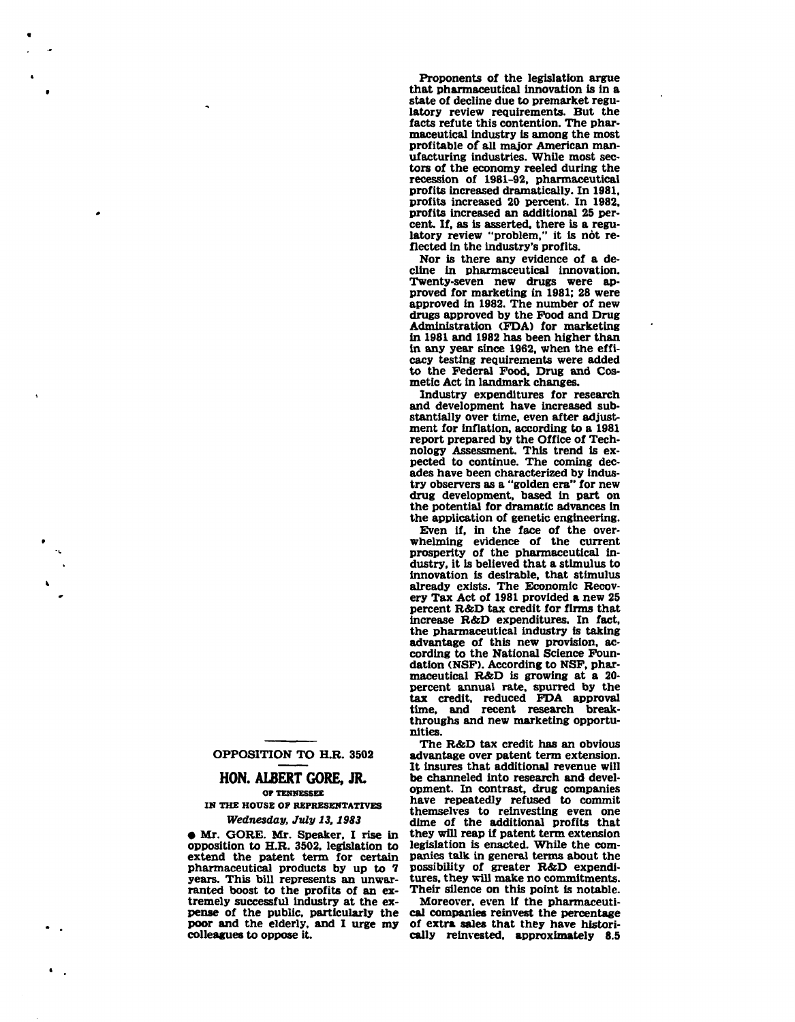**Proponents of the legislation argue that pharmaceutical innovation is in a state of decline due to premarket regulatory review requirements. But the facts refute this contention. The pharmaceutical industry is among the most profitable of all major American manufacturing industries. While most sectors of the economy reeled during the recession of 1981-92, pharmaceutical profits increased dramatically. In 1981, profits increased 20 percent. In 1982, profits increased an additional 25 percent. If, as is asserted, there is a regu**latory review "problem," it is not re**flected in the industry's profits.** 

**Nor is there any evidence of a decline in pharmaceutical innovation. Twenty-seven new drugs were approved for marketing in 1981; 28 were approved in 1982. The number of new drugs approved by the Food and Drug Administration (FDA) for marketing in 1981 and 1982 has been higher than in any year since 1962, when the efficacy testing requirements were added to the Federal Food, Drug and Cosmetic Act in landmark changes.** 

**Industry expenditures for research and development have increased substantially over time, even after adjustment for inflation, according to a 1981 report prepared by the Office of Technology Assessment. This trend is expected to continue. The coming decades have been characterized by industry observers as a "golden era" for new drug development, based in part on the potential for dramatic advances in the application of genetic engineering.** 

**Even if, in the face of the overwhelming evidence of the current prosperity of the pharmaceutical industry, it is believed that a stimulus to innovation is desirable, that stimulus already exists. The Economic Recovery Tax Act of 1981 provided a new 25 percent R&D tax credit for firms that increase R&D expenditures. In fact, the pharmaceutical industry is taking advantage of this new provision, according to the National Science Foundation (NSF). According to NSF, pharmaceutical R&D is growing at a 20 percent annual rate, spurred by the tax credit, reduced FDA approval time, and recent research breakthroughs and new marketing opportunities.** 

**The R&D tax credit has an obvious advantage over patent term extension. It insures that additional revenue will be channeled into research and development. In contrast, drug companies have repeatedly refused to commit themselves to reinvesting even one dime of the additional profits that they will reap if patent term extension legislation is enacted. While the companies talk in general terms about the possibility of greater R&D expenditures, they will make no commitments. Their silence on this point is notable.** 

**Moreover, even if the pharmaceutical companies reinvest the percentage of extra sales that they have historically reinvested, approximately 8.5** 

### **OPPOSITION TO H.R. 3502**

### **HON. ALBERT GORE, JR. OP TENNESSEE**

### **IN THE HOUSE OF REPRESENTATIVES**  *Wednesday, July 13,1983*

**• Mr. GORE. Mr. Speaker, I rise in opposition to H.R. 3502, legislation to extend the patent term for certain pharmaceutical products by up to 7 years. This bill represents an unwarranted boost to the profits of an extremely successful industry at the expense of the public, particularly the poor and the elderly, and I urge my colleagues to oppose it.**